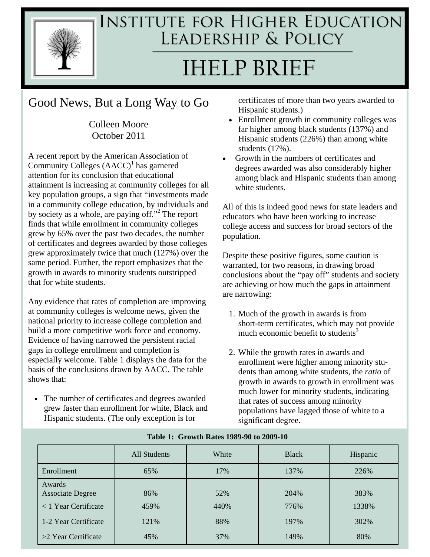

## **INSTITUTE FOR HIGHER EDUCATION** LEADERSHIP & POLICY

# **IHELP BRIEF**

## Good News, But a Long Way to Go

Colleen Moore October 2011

A recent report by the American Association of Community Colleges  $(AACC)^{1}$  has garnered attention for its conclusion that educational attainment is increasing at community colleges for all key population groups, a sign that "investments made in a community college education, by individuals and by society as a whole, are paying off."<sup>2</sup> The report finds that while enrollment in community colleges grew by 65% over the past two decades, the number of certificates and degrees awarded by those colleges grew approximately twice that much (127%) over the same period. Further, the report emphasizes that the growth in awards to minority students outstripped that for white students.

Any evidence that rates of completion are improving at community colleges is welcome news, given the national priority to increase college completion and build a more competitive work force and economy. Evidence of having narrowed the persistent racial gaps in college enrollment and completion is especially welcome. Table 1 displays the data for the basis of the conclusions drawn by AACC. The table shows that:

 The number of certificates and degrees awarded grew faster than enrollment for white, Black and Hispanic students. (The only exception is for

certificates of more than two years awarded to Hispanic students.)

- Enrollment growth in community colleges was far higher among black students (137%) and Hispanic students (226%) than among white students (17%).
- Growth in the numbers of certificates and degrees awarded was also considerably higher among black and Hispanic students than among white students.

All of this is indeed good news for state leaders and educators who have been working to increase college access and success for broad sectors of the population.

Despite these positive figures, some caution is warranted, for two reasons, in drawing broad conclusions about the "pay off" students and society are achieving or how much the gaps in attainment are narrowing:

- 1. Much of the growth in awards is from short-term certificates, which may not provide much economic benefit to students $3$
- 2. While the growth rates in awards and enrollment were higher among minority students than among white students, the *ratio* of growth in awards to growth in enrollment was much lower for minority students, indicating that rates of success among minority populations have lagged those of white to a significant degree.

|                                   | All Students | White | <b>Black</b> | Hispanic |
|-----------------------------------|--------------|-------|--------------|----------|
| Enrollment                        | 65%          | 17%   | 137%         | 226%     |
| Awards<br><b>Associate Degree</b> | 86%          | 52%   | 204%         | 383%     |
| $\langle 1$ Year Certificate      | 459%         | 440%  | 776%         | 1338%    |
| 1-2 Year Certificate              | 121%         | 88%   | 197%         | 302%     |
| $>2$ Year Certificate             | 45%          | 37%   | 149%         | 80%      |

**Table 1: Growth Rates 1989-90 to 2009-10**